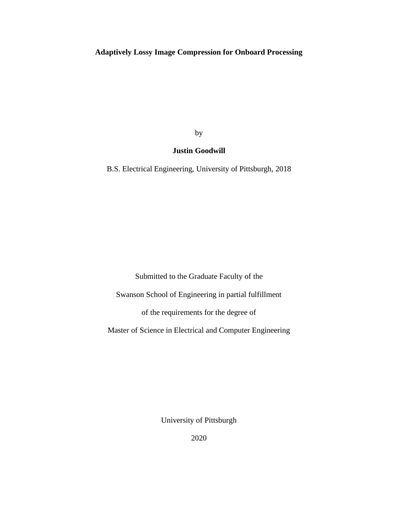## **Adaptively Lossy Image Compression for Onboard Processing**

by

### **Justin Goodwill**

B.S. Electrical Engineering, University of Pittsburgh, 2018

Submitted to the Graduate Faculty of the Swanson School of Engineering in partial fulfillment of the requirements for the degree of Master of Science in Electrical and Computer Engineering

University of Pittsburgh

2020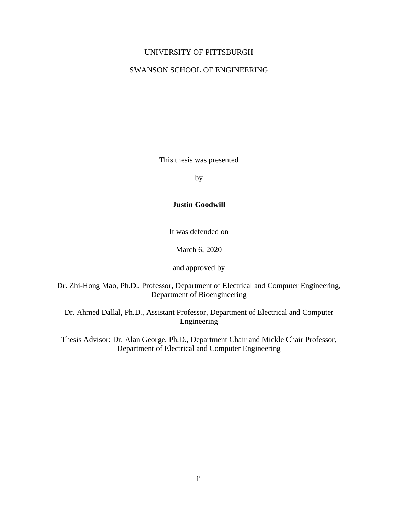#### UNIVERSITY OF PITTSBURGH

#### SWANSON SCHOOL OF ENGINEERING

This thesis was presented

by

### **Justin Goodwill**

It was defended on

March 6, 2020

and approved by

Dr. Zhi-Hong Mao, Ph.D., Professor, Department of Electrical and Computer Engineering, Department of Bioengineering

Dr. Ahmed Dallal, Ph.D., Assistant Professor, Department of Electrical and Computer Engineering

Thesis Advisor: Dr. Alan George, Ph.D., Department Chair and Mickle Chair Professor, Department of Electrical and Computer Engineering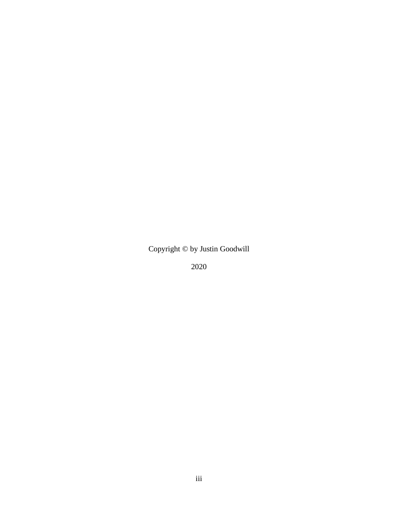Copyright © by Justin Goodwill

2020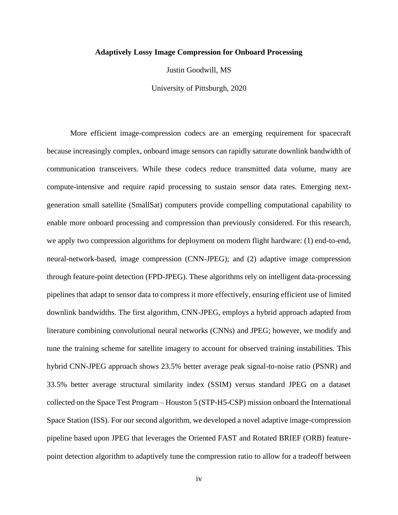#### **Adaptively Lossy Image Compression for Onboard Processing**

Justin Goodwill, MS

University of Pittsburgh, 2020

More efficient image-compression codecs are an emerging requirement for spacecraft because increasingly complex, onboard image sensors can rapidly saturate downlink bandwidth of communication transceivers. While these codecs reduce transmitted data volume, many are compute-intensive and require rapid processing to sustain sensor data rates. Emerging nextgeneration small satellite (SmallSat) computers provide compelling computational capability to enable more onboard processing and compression than previously considered. For this research, we apply two compression algorithms for deployment on modern flight hardware: (1) end-to-end, neural-network-based, image compression (CNN-JPEG); and (2) adaptive image compression through feature-point detection (FPD-JPEG). These algorithms rely on intelligent data-processing pipelines that adapt to sensor data to compress it more effectively, ensuring efficient use of limited downlink bandwidths. The first algorithm, CNN-JPEG, employs a hybrid approach adapted from literature combining convolutional neural networks (CNNs) and JPEG; however, we modify and tune the training scheme for satellite imagery to account for observed training instabilities. This hybrid CNN-JPEG approach shows 23.5% better average peak signal-to-noise ratio (PSNR) and 33.5% better average structural similarity index (SSIM) versus standard JPEG on a dataset collected on the Space Test Program – Houston 5 (STP-H5-CSP) mission onboard the International Space Station (ISS). For our second algorithm, we developed a novel adaptive image-compression pipeline based upon JPEG that leverages the Oriented FAST and Rotated BRIEF (ORB) featurepoint detection algorithm to adaptively tune the compression ratio to allow for a tradeoff between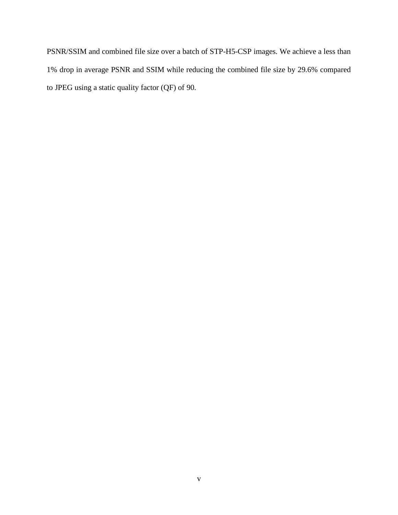PSNR/SSIM and combined file size over a batch of STP-H5-CSP images. We achieve a less than 1% drop in average PSNR and SSIM while reducing the combined file size by 29.6% compared to JPEG using a static quality factor (QF) of 90.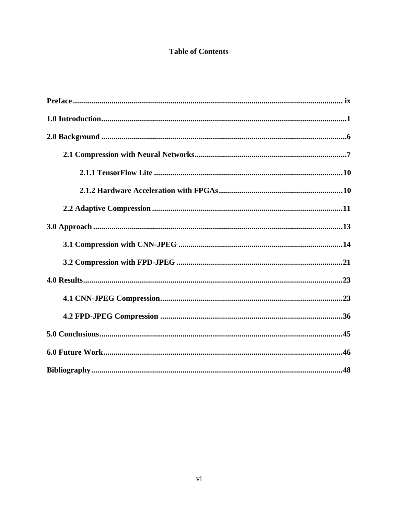## **Table of Contents**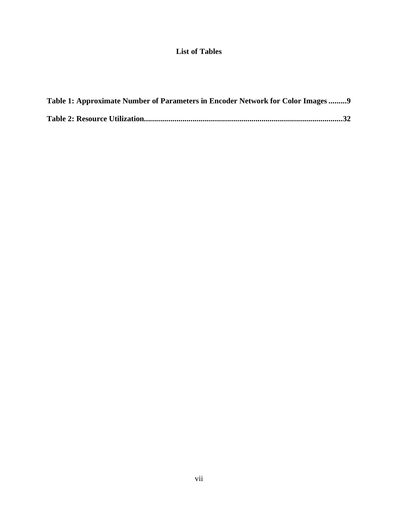## **List of Tables**

| Table 1: Approximate Number of Parameters in Encoder Network for Color Images 9 |  |
|---------------------------------------------------------------------------------|--|
|                                                                                 |  |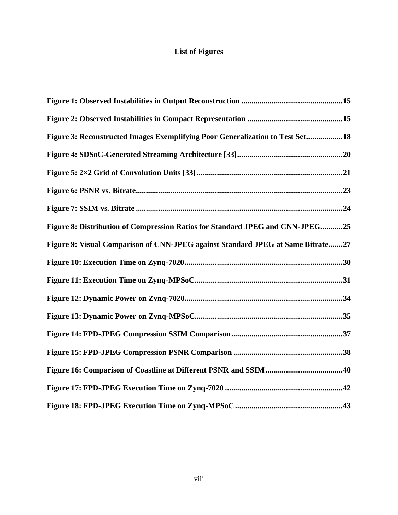# **List of Figures**

| Figure 3: Reconstructed Images Exemplifying Poor Generalization to Test Set18   |
|---------------------------------------------------------------------------------|
|                                                                                 |
|                                                                                 |
|                                                                                 |
|                                                                                 |
| Figure 8: Distribution of Compression Ratios for Standard JPEG and CNN-JPEG25   |
| Figure 9: Visual Comparison of CNN-JPEG against Standard JPEG at Same Bitrate27 |
|                                                                                 |
|                                                                                 |
|                                                                                 |
|                                                                                 |
|                                                                                 |
|                                                                                 |
|                                                                                 |
|                                                                                 |
|                                                                                 |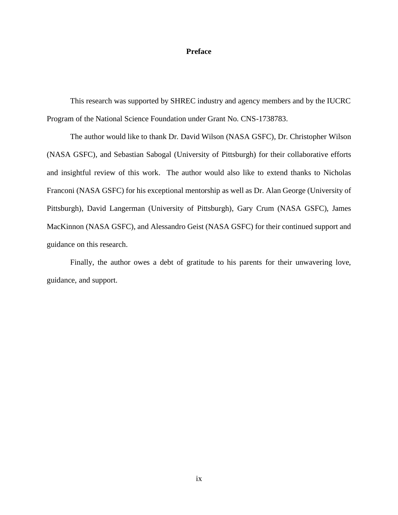#### **Preface**

<span id="page-8-0"></span>This research was supported by SHREC industry and agency members and by the IUCRC Program of the National Science Foundation under Grant No. CNS-1738783.

The author would like to thank Dr. David Wilson (NASA GSFC), Dr. Christopher Wilson (NASA GSFC), and Sebastian Sabogal (University of Pittsburgh) for their collaborative efforts and insightful review of this work. The author would also like to extend thanks to Nicholas Franconi (NASA GSFC) for his exceptional mentorship as well as Dr. Alan George (University of Pittsburgh), David Langerman (University of Pittsburgh), Gary Crum (NASA GSFC), James MacKinnon (NASA GSFC), and Alessandro Geist (NASA GSFC) for their continued support and guidance on this research.

Finally, the author owes a debt of gratitude to his parents for their unwavering love, guidance, and support.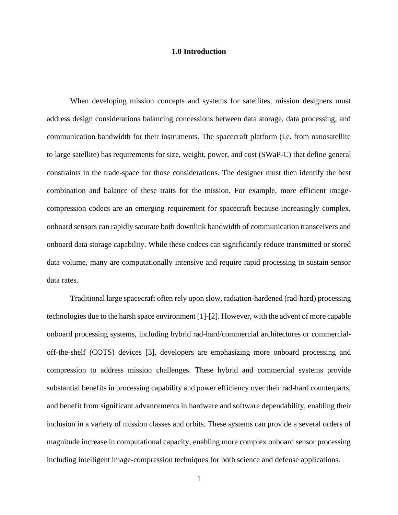#### **1.0 Introduction**

<span id="page-9-0"></span>When developing mission concepts and systems for satellites, mission designers must address design considerations balancing concessions between data storage, data processing, and communication bandwidth for their instruments. The spacecraft platform (i.e. from nanosatellite to large satellite) has requirements for size, weight, power, and cost (SWaP-C) that define general constraints in the trade-space for those considerations. The designer must then identify the best combination and balance of these traits for the mission. For example, more efficient imagecompression codecs are an emerging requirement for spacecraft because increasingly complex, onboard sensors can rapidly saturate both downlink bandwidth of communication transceivers and onboard data storage capability. While these codecs can significantly reduce transmitted or stored data volume, many are computationally intensive and require rapid processing to sustain sensor data rates.

Traditional large spacecraft often rely upon slow, radiation-hardened (rad-hard) processing technologies due to the harsh space environment [\[1\]](#page-56-1)[-\[2\].](#page-56-2) However, with the advent of more capable onboard processing systems, including hybrid rad-hard/commercial architectures or commercialoff-the-shelf (COTS) devices [\[3\],](#page-56-3) developers are emphasizing more onboard processing and compression to address mission challenges. These hybrid and commercial systems provide substantial benefits in processing capability and power efficiency over their rad-hard counterparts, and benefit from significant advancements in hardware and software dependability, enabling their inclusion in a variety of mission classes and orbits. These systems can provide a several orders of magnitude increase in computational capacity, enabling more complex onboard sensor processing including intelligent image-compression techniques for both science and defense applications.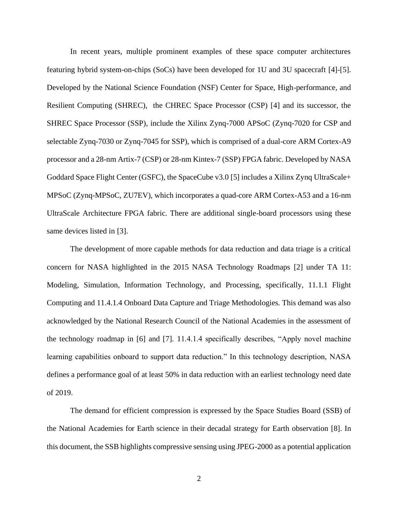In recent years, multiple prominent examples of these space computer architectures featuring hybrid system-on-chips (SoCs) have been developed for 1U and 3U spacecraft [\[4\]](#page-56-4)[-\[5\].](#page-56-5) Developed by the National Science Foundation (NSF) Center for Space, High-performance, and Resilient Computing (SHREC), the CHREC Space Processor (CSP) [\[4\]](#page-56-4) and its successor, the SHREC Space Processor (SSP), include the Xilinx Zynq-7000 APSoC (Zynq-7020 for CSP and selectable Zynq-7030 or Zynq-7045 for SSP), which is comprised of a dual-core ARM Cortex-A9 processor and a 28-nm Artix-7 (CSP) or 28-nm Kintex-7 (SSP) FPGA fabric. Developed by NASA Goddard Space Flight Center (GSFC), the SpaceCube v3.0 [\[5\]](#page-56-5) includes a Xilinx Zynq UltraScale+ MPSoC (Zynq-MPSoC, ZU7EV), which incorporates a quad-core ARM Cortex-A53 and a 16-nm UltraScale Architecture FPGA fabric. There are additional single-board processors using these same devices listed in [\[3\].](#page-56-3)

The development of more capable methods for data reduction and data triage is a critical concern for NASA highlighted in the 2015 NASA Technology Roadmaps [\[2\]](#page-56-2) under TA 11: Modeling, Simulation, Information Technology, and Processing, specifically, 11.1.1 Flight Computing and 11.4.1.4 Onboard Data Capture and Triage Methodologies. This demand was also acknowledged by the National Research Council of the National Academies in the assessment of the technology roadmap in [\[6\]](#page-56-6) and [\[7\].](#page-56-7) 11.4.1.4 specifically describes, "Apply novel machine learning capabilities onboard to support data reduction." In this technology description, NASA defines a performance goal of at least 50% in data reduction with an earliest technology need date of 2019.

The demand for efficient compression is expressed by the Space Studies Board (SSB) of the National Academies for Earth science in their decadal strategy for Earth observation [\[8\].](#page-56-8) In this document, the SSB highlights compressive sensing using JPEG-2000 as a potential application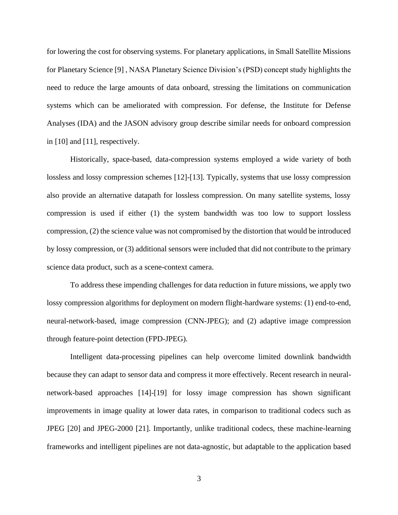for lowering the cost for observing systems. For planetary applications, in Small Satellite Missions for Planetary Science [\[9\]](#page-56-9) , NASA Planetary Science Division's (PSD) concept study highlights the need to reduce the large amounts of data onboard, stressing the limitations on communication systems which can be ameliorated with compression. For defense, the Institute for Defense Analyses (IDA) and the JASON advisory group describe similar needs for onboard compression in [\[10\]](#page-56-10) and [\[11\],](#page-56-11) respectively.

Historically, space-based, data-compression systems employed a wide variety of both lossless and lossy compression schemes [\[12\]](#page-56-12)[-\[13\].](#page-57-0) Typically, systems that use lossy compression also provide an alternative datapath for lossless compression. On many satellite systems, lossy compression is used if either (1) the system bandwidth was too low to support lossless compression, (2) the science value was not compromised by the distortion that would be introduced by lossy compression, or (3) additional sensors were included that did not contribute to the primary science data product, such as a scene-context camera.

To address these impending challenges for data reduction in future missions, we apply two lossy compression algorithms for deployment on modern flight-hardware systems: (1) end-to-end, neural-network-based, image compression (CNN-JPEG); and (2) adaptive image compression through feature-point detection (FPD-JPEG).

Intelligent data-processing pipelines can help overcome limited downlink bandwidth because they can adapt to sensor data and compress it more effectively. Recent research in neuralnetwork-based approaches [\[14\]-](#page-57-1)[\[19\]](#page-57-2) for lossy image compression has shown significant improvements in image quality at lower data rates, in comparison to traditional codecs such as JPEG [\[20\]](#page-57-3) and JPEG-2000 [\[21\].](#page-57-4) Importantly, unlike traditional codecs, these machine-learning frameworks and intelligent pipelines are not data-agnostic, but adaptable to the application based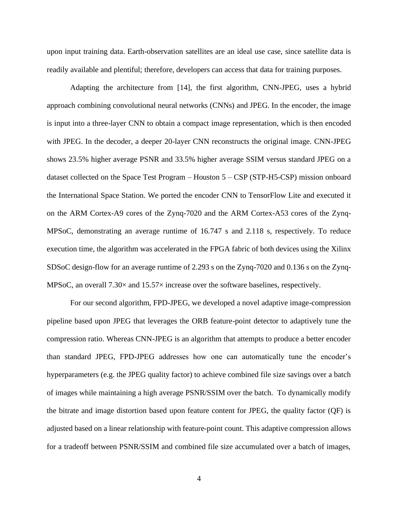upon input training data. Earth-observation satellites are an ideal use case, since satellite data is readily available and plentiful; therefore, developers can access that data for training purposes.

Adapting the architecture from [\[14\],](#page-57-1) the first algorithm, CNN-JPEG, uses a hybrid approach combining convolutional neural networks (CNNs) and JPEG. In the encoder, the image is input into a three-layer CNN to obtain a compact image representation, which is then encoded with JPEG. In the decoder, a deeper 20-layer CNN reconstructs the original image. CNN-JPEG shows 23.5% higher average PSNR and 33.5% higher average SSIM versus standard JPEG on a dataset collected on the Space Test Program – Houston 5 – CSP (STP-H5-CSP) mission onboard the International Space Station. We ported the encoder CNN to TensorFlow Lite and executed it on the ARM Cortex-A9 cores of the Zynq-7020 and the ARM Cortex-A53 cores of the Zynq-MPSoC, demonstrating an average runtime of 16.747 s and 2.118 s, respectively. To reduce execution time, the algorithm was accelerated in the FPGA fabric of both devices using the Xilinx SDSoC design-flow for an average runtime of 2.293 s on the Zynq-7020 and 0.136 s on the Zynq-MPSoC, an overall 7.30× and 15.57× increase over the software baselines, respectively.

For our second algorithm, FPD-JPEG, we developed a novel adaptive image-compression pipeline based upon JPEG that leverages the ORB feature-point detector to adaptively tune the compression ratio. Whereas CNN-JPEG is an algorithm that attempts to produce a better encoder than standard JPEG, FPD-JPEG addresses how one can automatically tune the encoder's hyperparameters (e.g. the JPEG quality factor) to achieve combined file size savings over a batch of images while maintaining a high average PSNR/SSIM over the batch. To dynamically modify the bitrate and image distortion based upon feature content for JPEG, the quality factor (QF) is adjusted based on a linear relationship with feature-point count. This adaptive compression allows for a tradeoff between PSNR/SSIM and combined file size accumulated over a batch of images,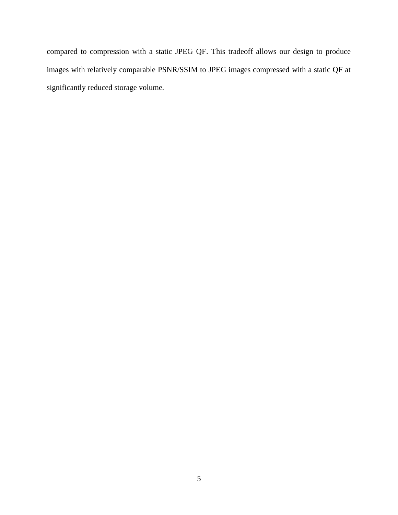compared to compression with a static JPEG QF. This tradeoff allows our design to produce images with relatively comparable PSNR/SSIM to JPEG images compressed with a static QF at significantly reduced storage volume.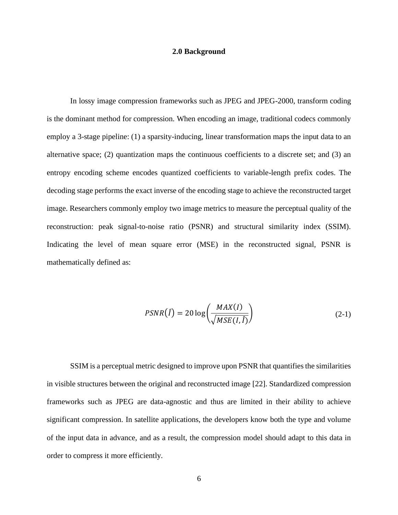#### **2.0 Background**

<span id="page-14-0"></span>In lossy image compression frameworks such as JPEG and JPEG-2000, transform coding is the dominant method for compression. When encoding an image, traditional codecs commonly employ a 3-stage pipeline: (1) a sparsity-inducing, linear transformation maps the input data to an alternative space; (2) quantization maps the continuous coefficients to a discrete set; and (3) an entropy encoding scheme encodes quantized coefficients to variable-length prefix codes. The decoding stage performs the exact inverse of the encoding stage to achieve the reconstructed target image. Researchers commonly employ two image metrics to measure the perceptual quality of the reconstruction: peak signal-to-noise ratio (PSNR) and structural similarity index (SSIM). Indicating the level of mean square error (MSE) in the reconstructed signal, PSNR is mathematically defined as:

$$
PSNR(\hat{I}) = 20 \log \left( \frac{MAX(I)}{\sqrt{MSE(I,\hat{I})}} \right) \tag{2-1}
$$

SSIM is a perceptual metric designed to improve upon PSNR that quantifies the similarities in visible structures between the original and reconstructed image [\[22\].](#page-57-5) Standardized compression frameworks such as JPEG are data-agnostic and thus are limited in their ability to achieve significant compression. In satellite applications, the developers know both the type and volume of the input data in advance, and as a result, the compression model should adapt to this data in order to compress it more efficiently.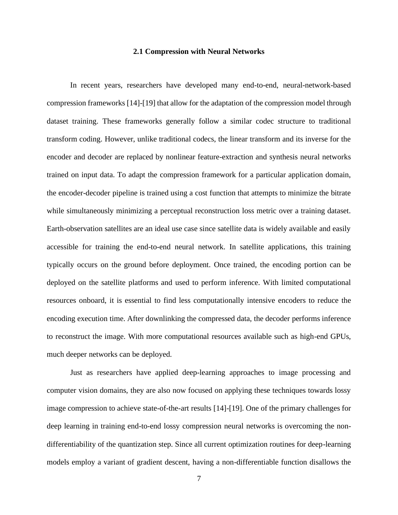#### **2.1 Compression with Neural Networks**

<span id="page-15-0"></span>In recent years, researchers have developed many end-to-end, neural-network-based compression frameworks [\[14\]](#page-57-1)[-\[19\]](#page-57-2) that allow for the adaptation of the compression model through dataset training. These frameworks generally follow a similar codec structure to traditional transform coding. However, unlike traditional codecs, the linear transform and its inverse for the encoder and decoder are replaced by nonlinear feature-extraction and synthesis neural networks trained on input data. To adapt the compression framework for a particular application domain, the encoder-decoder pipeline is trained using a cost function that attempts to minimize the bitrate while simultaneously minimizing a perceptual reconstruction loss metric over a training dataset. Earth-observation satellites are an ideal use case since satellite data is widely available and easily accessible for training the end-to-end neural network. In satellite applications, this training typically occurs on the ground before deployment. Once trained, the encoding portion can be deployed on the satellite platforms and used to perform inference. With limited computational resources onboard, it is essential to find less computationally intensive encoders to reduce the encoding execution time. After downlinking the compressed data, the decoder performs inference to reconstruct the image. With more computational resources available such as high-end GPUs, much deeper networks can be deployed.

Just as researchers have applied deep-learning approaches to image processing and computer vision domains, they are also now focused on applying these techniques towards lossy image compression to achieve state-of-the-art results [\[14\]](#page-57-1)[-\[19\].](#page-57-2) One of the primary challenges for deep learning in training end-to-end lossy compression neural networks is overcoming the nondifferentiability of the quantization step. Since all current optimization routines for deep-learning models employ a variant of gradient descent, having a non-differentiable function disallows the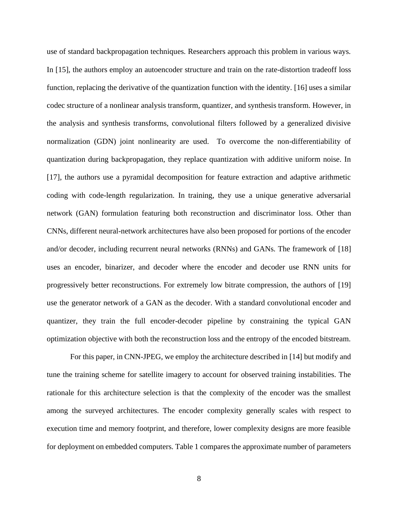use of standard backpropagation techniques. Researchers approach this problem in various ways. In [\[15\],](#page-57-6) the authors employ an autoencoder structure and train on the rate-distortion tradeoff loss function, replacing the derivative of the quantization function with the identity. [\[16\]](#page-57-7) uses a similar codec structure of a nonlinear analysis transform, quantizer, and synthesis transform. However, in the analysis and synthesis transforms, convolutional filters followed by a generalized divisive normalization (GDN) joint nonlinearity are used. To overcome the non-differentiability of quantization during backpropagation, they replace quantization with additive uniform noise. In [\[17\],](#page-57-8) the authors use a pyramidal decomposition for feature extraction and adaptive arithmetic coding with code-length regularization. In training, they use a unique generative adversarial network (GAN) formulation featuring both reconstruction and discriminator loss. Other than CNNs, different neural-network architectures have also been proposed for portions of the encoder and/or decoder, including recurrent neural networks (RNNs) and GANs. The framework of [\[18\]](#page-57-9) uses an encoder, binarizer, and decoder where the encoder and decoder use RNN units for progressively better reconstructions. For extremely low bitrate compression, the authors of [\[19\]](#page-57-2) use the generator network of a GAN as the decoder. With a standard convolutional encoder and quantizer, they train the full encoder-decoder pipeline by constraining the typical GAN optimization objective with both the reconstruction loss and the entropy of the encoded bitstream.

For this paper, in CNN-JPEG, we employ the architecture described in [\[14\]](#page-57-1) but modify and tune the training scheme for satellite imagery to account for observed training instabilities. The rationale for this architecture selection is that the complexity of the encoder was the smallest among the surveyed architectures. The encoder complexity generally scales with respect to execution time and memory footprint, and therefore, lower complexity designs are more feasible for deployment on embedded computers. [Table 1](#page-17-0) compares the approximate number of parameters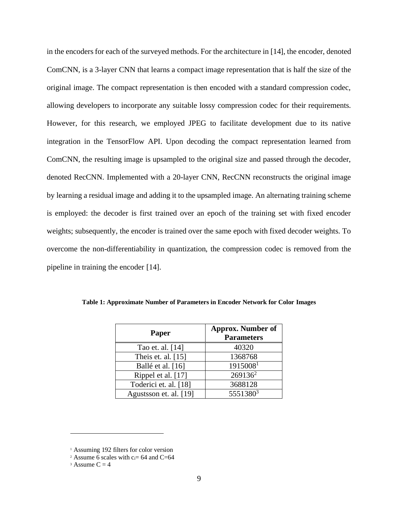in the encoders for each of the surveyed methods. For the architecture in [\[14\],](#page-57-1) the encoder, denoted ComCNN, is a 3-layer CNN that learns a compact image representation that is half the size of the original image. The compact representation is then encoded with a standard compression codec, allowing developers to incorporate any suitable lossy compression codec for their requirements. However, for this research, we employed JPEG to facilitate development due to its native integration in the TensorFlow API. Upon decoding the compact representation learned from ComCNN, the resulting image is upsampled to the original size and passed through the decoder, denoted RecCNN. Implemented with a 20-layer CNN, RecCNN reconstructs the original image by learning a residual image and adding it to the upsampled image. An alternating training scheme is employed: the decoder is first trained over an epoch of the training set with fixed encoder weights; subsequently, the encoder is trained over the same epoch with fixed decoder weights. To overcome the non-differentiability in quantization, the compression codec is removed from the pipeline in training the encoder [\[14\].](#page-57-1)

| Paper                  | <b>Approx.</b> Number of<br><b>Parameters</b> |
|------------------------|-----------------------------------------------|
| Tao et. al. [14]       | 40320                                         |
| Theis et. al. $[15]$   | 1368768                                       |
| Ballé et al. [16]      | 19150081                                      |
| Rippel et al. [17]     | $269136^2$                                    |
| Toderici et. al. [18]  | 3688128                                       |
| Agustsson et. al. [19] | 5551380 <sup>3</sup>                          |

<span id="page-17-0"></span>**Table 1: Approximate Number of Parameters in Encoder Network for Color Images**

<sup>1</sup> Assuming 192 filters for color version

<sup>&</sup>lt;sup>2</sup> Assume 6 scales with  $c_i = 64$  and C=64

<sup>&</sup>lt;sup>3</sup> Assume  $C = 4$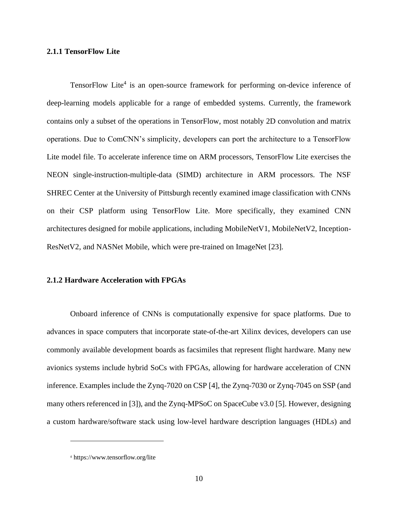#### <span id="page-18-0"></span>**2.1.1 TensorFlow Lite**

TensorFlow Lite<sup>4</sup> is an open-source framework for performing on-device inference of deep-learning models applicable for a range of embedded systems. Currently, the framework contains only a subset of the operations in TensorFlow, most notably 2D convolution and matrix operations. Due to ComCNN's simplicity, developers can port the architecture to a TensorFlow Lite model file. To accelerate inference time on ARM processors, TensorFlow Lite exercises the NEON single-instruction-multiple-data (SIMD) architecture in ARM processors. The NSF SHREC Center at the University of Pittsburgh recently examined image classification with CNNs on their CSP platform using TensorFlow Lite. More specifically, they examined CNN architectures designed for mobile applications, including MobileNetV1, MobileNetV2, Inception-ResNetV2, and NASNet Mobile, which were pre-trained on ImageNet [\[23\].](#page-57-10)

#### <span id="page-18-1"></span>**2.1.2 Hardware Acceleration with FPGAs**

Onboard inference of CNNs is computationally expensive for space platforms. Due to advances in space computers that incorporate state-of-the-art Xilinx devices, developers can use commonly available development boards as facsimiles that represent flight hardware. Many new avionics systems include hybrid SoCs with FPGAs, allowing for hardware acceleration of CNN inference. Examples include the Zynq-7020 on CSP [\[4\],](#page-56-4) the Zynq-7030 or Zynq-7045 on SSP (and many others referenced in [\[3\]\)](#page-56-3), and the Zynq-MPSoC on SpaceCube v3.0 [\[5\].](#page-56-5) However, designing a custom hardware/software stack using low-level hardware description languages (HDLs) and

<sup>4</sup> https://www.tensorflow.org/lite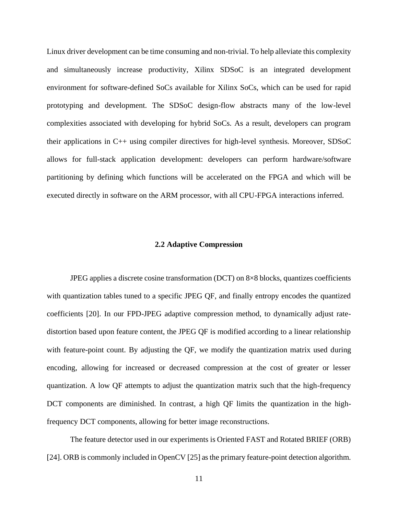Linux driver development can be time consuming and non-trivial. To help alleviate this complexity and simultaneously increase productivity, Xilinx SDSoC is an integrated development environment for software-defined SoCs available for Xilinx SoCs, which can be used for rapid prototyping and development. The SDSoC design-flow abstracts many of the low-level complexities associated with developing for hybrid SoCs. As a result, developers can program their applications in C++ using compiler directives for high-level synthesis. Moreover, SDSoC allows for full-stack application development: developers can perform hardware/software partitioning by defining which functions will be accelerated on the FPGA and which will be executed directly in software on the ARM processor, with all CPU-FPGA interactions inferred.

#### **2.2 Adaptive Compression**

<span id="page-19-0"></span>JPEG applies a discrete cosine transformation (DCT) on 8×8 blocks, quantizes coefficients with quantization tables tuned to a specific JPEG QF, and finally entropy encodes the quantized coefficients [\[20\].](#page-57-3) In our FPD-JPEG adaptive compression method, to dynamically adjust ratedistortion based upon feature content, the JPEG QF is modified according to a linear relationship with feature-point count. By adjusting the QF, we modify the quantization matrix used during encoding, allowing for increased or decreased compression at the cost of greater or lesser quantization. A low QF attempts to adjust the quantization matrix such that the high-frequency DCT components are diminished. In contrast, a high QF limits the quantization in the highfrequency DCT components, allowing for better image reconstructions.

The feature detector used in our experiments is Oriented FAST and Rotated BRIEF (ORB) [\[24\].](#page-57-11) ORB is commonly included in OpenCV [\[25\]](#page-57-12) as the primary feature-point detection algorithm.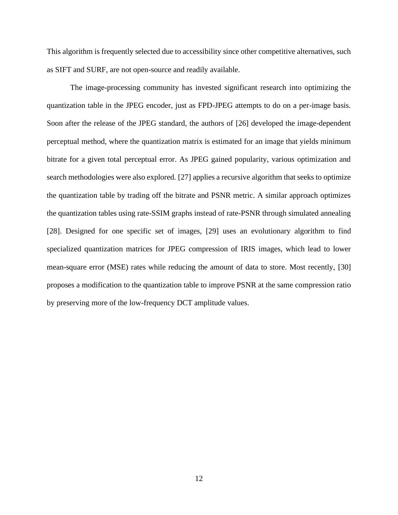This algorithm is frequently selected due to accessibility since other competitive alternatives, such as SIFT and SURF, are not open-source and readily available.

The image-processing community has invested significant research into optimizing the quantization table in the JPEG encoder, just as FPD-JPEG attempts to do on a per-image basis. Soon after the release of the JPEG standard, the authors of [\[26\]](#page-57-13) developed the image-dependent perceptual method, where the quantization matrix is estimated for an image that yields minimum bitrate for a given total perceptual error. As JPEG gained popularity, various optimization and search methodologies were also explored. [\[27\]](#page-58-0) applies a recursive algorithm that seeks to optimize the quantization table by trading off the bitrate and PSNR metric. A similar approach optimizes the quantization tables using rate-SSIM graphs instead of rate-PSNR through simulated annealing [\[28\].](#page-58-1) Designed for one specific set of images, [\[29\]](#page-58-2) uses an evolutionary algorithm to find specialized quantization matrices for JPEG compression of IRIS images, which lead to lower mean-square error (MSE) rates while reducing the amount of data to store. Most recently, [\[30\]](#page-58-3) proposes a modification to the quantization table to improve PSNR at the same compression ratio by preserving more of the low-frequency DCT amplitude values.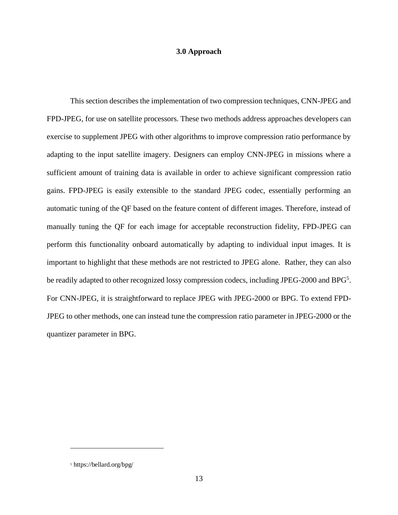#### **3.0 Approach**

<span id="page-21-0"></span>This section describes the implementation of two compression techniques, CNN-JPEG and FPD-JPEG, for use on satellite processors. These two methods address approaches developers can exercise to supplement JPEG with other algorithms to improve compression ratio performance by adapting to the input satellite imagery. Designers can employ CNN-JPEG in missions where a sufficient amount of training data is available in order to achieve significant compression ratio gains. FPD-JPEG is easily extensible to the standard JPEG codec, essentially performing an automatic tuning of the QF based on the feature content of different images. Therefore, instead of manually tuning the QF for each image for acceptable reconstruction fidelity, FPD-JPEG can perform this functionality onboard automatically by adapting to individual input images. It is important to highlight that these methods are not restricted to JPEG alone. Rather, they can also be readily adapted to other recognized lossy compression codecs, including JPEG-2000 and BPG<sup>5</sup>. For CNN-JPEG, it is straightforward to replace JPEG with JPEG-2000 or BPG. To extend FPD-JPEG to other methods, one can instead tune the compression ratio parameter in JPEG-2000 or the quantizer parameter in BPG.

<sup>5</sup> https://bellard.org/bpg/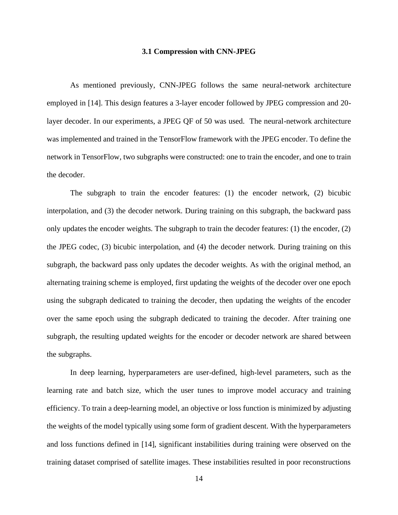#### **3.1 Compression with CNN-JPEG**

<span id="page-22-0"></span>As mentioned previously, CNN-JPEG follows the same neural-network architecture employed in [\[14\].](#page-57-1) This design features a 3-layer encoder followed by JPEG compression and 20 layer decoder. In our experiments, a JPEG QF of 50 was used. The neural-network architecture was implemented and trained in the TensorFlow framework with the JPEG encoder. To define the network in TensorFlow, two subgraphs were constructed: one to train the encoder, and one to train the decoder.

The subgraph to train the encoder features: (1) the encoder network, (2) bicubic interpolation, and (3) the decoder network. During training on this subgraph, the backward pass only updates the encoder weights. The subgraph to train the decoder features: (1) the encoder, (2) the JPEG codec, (3) bicubic interpolation, and (4) the decoder network. During training on this subgraph, the backward pass only updates the decoder weights. As with the original method, an alternating training scheme is employed, first updating the weights of the decoder over one epoch using the subgraph dedicated to training the decoder, then updating the weights of the encoder over the same epoch using the subgraph dedicated to training the decoder. After training one subgraph, the resulting updated weights for the encoder or decoder network are shared between the subgraphs.

In deep learning, hyperparameters are user-defined, high-level parameters, such as the learning rate and batch size, which the user tunes to improve model accuracy and training efficiency. To train a deep-learning model, an objective or loss function is minimized by adjusting the weights of the model typically using some form of gradient descent. With the hyperparameters and loss functions defined in [\[14\],](#page-57-1) significant instabilities during training were observed on the training dataset comprised of satellite images. These instabilities resulted in poor reconstructions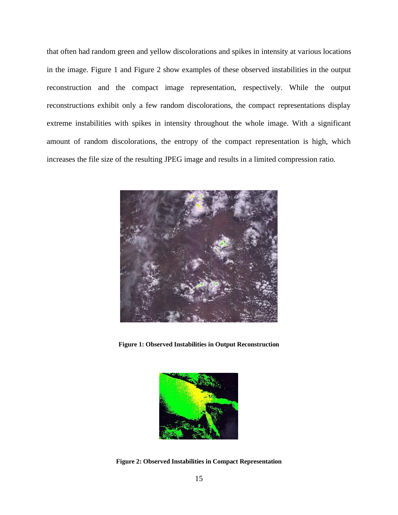that often had random green and yellow discolorations and spikes in intensity at various locations in the image. [Figure 1](#page-23-0) and [Figure 2](#page-23-1) show examples of these observed instabilities in the output reconstruction and the compact image representation, respectively. While the output reconstructions exhibit only a few random discolorations, the compact representations display extreme instabilities with spikes in intensity throughout the whole image. With a significant amount of random discolorations, the entropy of the compact representation is high, which increases the file size of the resulting JPEG image and results in a limited compression ratio.



**Figure 1: Observed Instabilities in Output Reconstruction**

<span id="page-23-1"></span><span id="page-23-0"></span>

**Figure 2: Observed Instabilities in Compact Representation**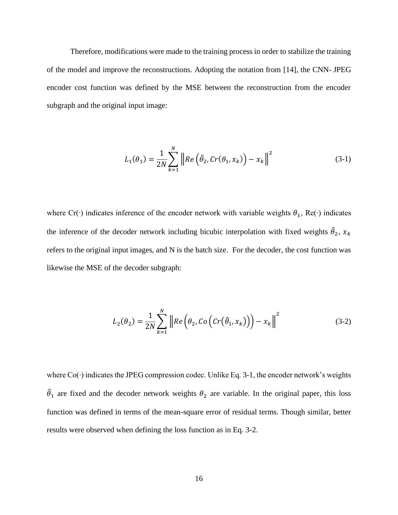Therefore, modifications were made to the training process in order to stabilize the training of the model and improve the reconstructions. Adopting the notation from [\[14\],](#page-57-1) the CNN- JPEG encoder cost function was defined by the MSE between the reconstruction from the encoder subgraph and the original input image:

$$
L_1(\theta_1) = \frac{1}{2N} \sum_{k=1}^{N} \left\| Re \left( \hat{\theta}_2, Cr(\theta_1, x_k) \right) - x_k \right\|^2 \tag{3-1}
$$

where Cr(⋅) indicates inference of the encoder network with variable weights  $\theta_1$ , Re(⋅) indicates the inference of the decoder network including bicubic interpolation with fixed weights  $\hat{\theta}_2$ ,  $x_k$ refers to the original input images, and N is the batch size. For the decoder, the cost function was likewise the MSE of the decoder subgraph:

$$
L_2(\theta_2) = \frac{1}{2N} \sum_{k=1}^{N} \left\| Re \left( \theta_2, Co \left( Cr(\hat{\theta}_1, x_k) \right) \right) - x_k \right\|^2 \tag{3-2}
$$

where Co(∙) indicates the JPEG compression codec. Unlike Eq. 3-1, the encoder network's weights  $\hat{\theta}_1$  are fixed and the decoder network weights  $\theta_2$  are variable. In the original paper, this loss function was defined in terms of the mean-square error of residual terms. Though similar, better results were observed when defining the loss function as in Eq. 3-2.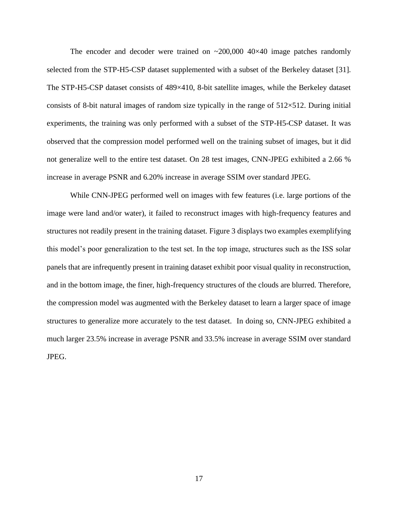The encoder and decoder were trained on  $\sim$ 200,000 40 $\times$ 40 image patches randomly selected from the STP-H5-CSP dataset supplemented with a subset of the Berkeley dataset [\[31\].](#page-58-4) The STP-H5-CSP dataset consists of 489×410, 8-bit satellite images, while the Berkeley dataset consists of 8-bit natural images of random size typically in the range of  $512\times512$ . During initial experiments, the training was only performed with a subset of the STP-H5-CSP dataset. It was observed that the compression model performed well on the training subset of images, but it did not generalize well to the entire test dataset. On 28 test images, CNN-JPEG exhibited a 2.66 % increase in average PSNR and 6.20% increase in average SSIM over standard JPEG.

While CNN-JPEG performed well on images with few features (i.e. large portions of the image were land and/or water), it failed to reconstruct images with high-frequency features and structures not readily present in the training dataset. [Figure 3](#page-26-0) displays two examples exemplifying this model's poor generalization to the test set. In the top image, structures such as the ISS solar panels that are infrequently present in training dataset exhibit poor visual quality in reconstruction, and in the bottom image, the finer, high-frequency structures of the clouds are blurred. Therefore, the compression model was augmented with the Berkeley dataset to learn a larger space of image structures to generalize more accurately to the test dataset. In doing so, CNN-JPEG exhibited a much larger 23.5% increase in average PSNR and 33.5% increase in average SSIM over standard JPEG.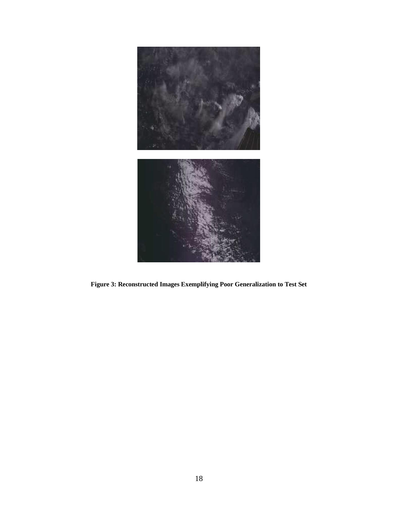<span id="page-26-0"></span>

**Figure 3: Reconstructed Images Exemplifying Poor Generalization to Test Set**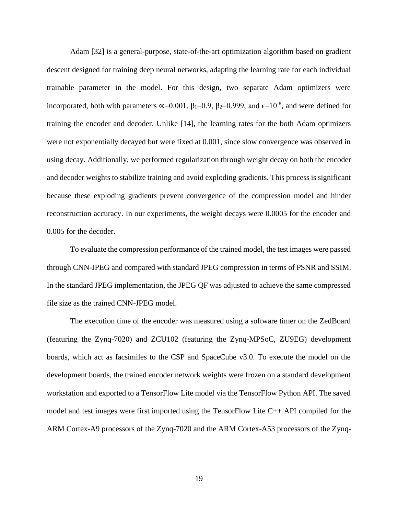Adam [\[32\]](#page-58-5) is a general-purpose, state-of-the-art optimization algorithm based on gradient descent designed for training deep neural networks, adapting the learning rate for each individual trainable parameter in the model. For this design, two separate Adam optimizers were incorporated, both with parameters  $\alpha$ =0.001,  $\beta_1$ =0.9,  $\beta_2$ =0.999, and  $\epsilon$ =10<sup>-8</sup>, and were defined for training the encoder and decoder. Unlike [\[14\],](#page-57-1) the learning rates for the both Adam optimizers were not exponentially decayed but were fixed at 0.001, since slow convergence was observed in using decay. Additionally, we performed regularization through weight decay on both the encoder and decoder weights to stabilize training and avoid exploding gradients. This process is significant because these exploding gradients prevent convergence of the compression model and hinder reconstruction accuracy. In our experiments, the weight decays were 0.0005 for the encoder and 0.005 for the decoder.

To evaluate the compression performance of the trained model, the test images were passed through CNN-JPEG and compared with standard JPEG compression in terms of PSNR and SSIM. In the standard JPEG implementation, the JPEG QF was adjusted to achieve the same compressed file size as the trained CNN-JPEG model.

The execution time of the encoder was measured using a software timer on the ZedBoard (featuring the Zynq-7020) and ZCU102 (featuring the Zynq-MPSoC, ZU9EG) development boards, which act as facsimiles to the CSP and SpaceCube v3.0. To execute the model on the development boards, the trained encoder network weights were frozen on a standard development workstation and exported to a TensorFlow Lite model via the TensorFlow Python API. The saved model and test images were first imported using the TensorFlow Lite C++ API compiled for the ARM Cortex-A9 processors of the Zynq-7020 and the ARM Cortex-A53 processors of the Zynq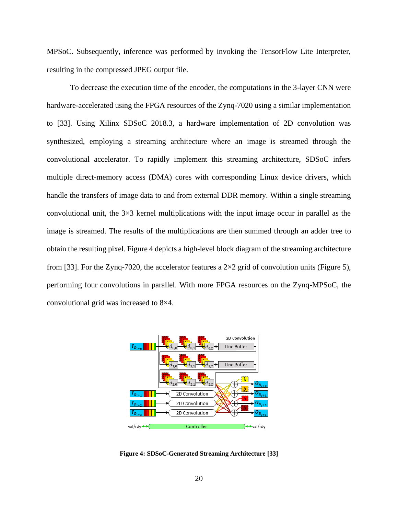MPSoC. Subsequently, inference was performed by invoking the TensorFlow Lite Interpreter, resulting in the compressed JPEG output file.

To decrease the execution time of the encoder, the computations in the 3-layer CNN were hardware-accelerated using the FPGA resources of the Zynq-7020 using a similar implementation to [\[33\].](#page-58-6) Using Xilinx SDSoC 2018.3, a hardware implementation of 2D convolution was synthesized, employing a streaming architecture where an image is streamed through the convolutional accelerator. To rapidly implement this streaming architecture, SDSoC infers multiple direct-memory access (DMA) cores with corresponding Linux device drivers, which handle the transfers of image data to and from external DDR memory. Within a single streaming convolutional unit, the  $3\times3$  kernel multiplications with the input image occur in parallel as the image is streamed. The results of the multiplications are then summed through an adder tree to obtain the resulting pixel. [Figure 4](#page-28-0) depicts a high-level block diagram of the streaming architecture from [\[33\].](#page-58-6) For the Zynq-7020, the accelerator features a  $2\times 2$  grid of convolution units [\(Figure 5\)](#page-29-1), performing four convolutions in parallel. With more FPGA resources on the Zynq-MPSoC, the convolutional grid was increased to 8×4.

<span id="page-28-0"></span>

**Figure 4: SDSoC-Generated Streaming Architecture [\[33\]](#page-58-6)**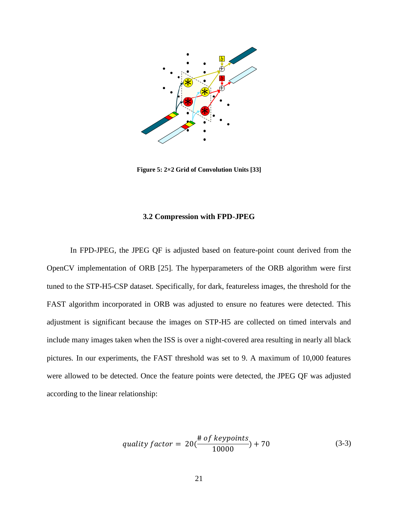

**Figure 5: 2×2 Grid of Convolution Units [\[33\]](#page-58-6)**

#### **3.2 Compression with FPD-JPEG**

<span id="page-29-1"></span><span id="page-29-0"></span>In FPD-JPEG, the JPEG QF is adjusted based on feature-point count derived from the OpenCV implementation of ORB [\[25\].](#page-57-12) The hyperparameters of the ORB algorithm were first tuned to the STP-H5-CSP dataset. Specifically, for dark, featureless images, the threshold for the FAST algorithm incorporated in ORB was adjusted to ensure no features were detected. This adjustment is significant because the images on STP-H5 are collected on timed intervals and include many images taken when the ISS is over a night-covered area resulting in nearly all black pictures. In our experiments, the FAST threshold was set to 9. A maximum of 10,000 features were allowed to be detected. Once the feature points were detected, the JPEG QF was adjusted according to the linear relationship:

$$
quality factor = 20(\frac{\text{\# of keypoints}}{10000}) + 70
$$
\n(3-3)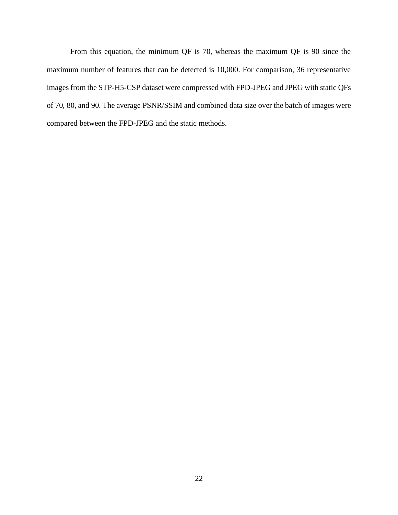From this equation, the minimum QF is 70, whereas the maximum QF is 90 since the maximum number of features that can be detected is 10,000. For comparison, 36 representative images from the STP-H5-CSP dataset were compressed with FPD-JPEG and JPEG with static QFs of 70, 80, and 90. The average PSNR/SSIM and combined data size over the batch of images were compared between the FPD-JPEG and the static methods.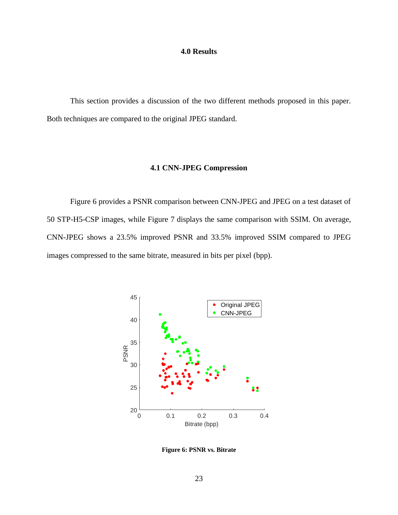#### **4.0 Results**

<span id="page-31-1"></span><span id="page-31-0"></span>This section provides a discussion of the two different methods proposed in this paper. Both techniques are compared to the original JPEG standard.

#### **4.1 CNN-JPEG Compression**

[Figure 6](#page-31-2) provides a PSNR comparison between CNN-JPEG and JPEG on a test dataset of 50 STP-H5-CSP images, while [Figure 7](#page-32-0) displays the same comparison with SSIM. On average, CNN-JPEG shows a 23.5% improved PSNR and 33.5% improved SSIM compared to JPEG images compressed to the same bitrate, measured in bits per pixel (bpp).



<span id="page-31-2"></span>**Figure 6: PSNR vs. Bitrate**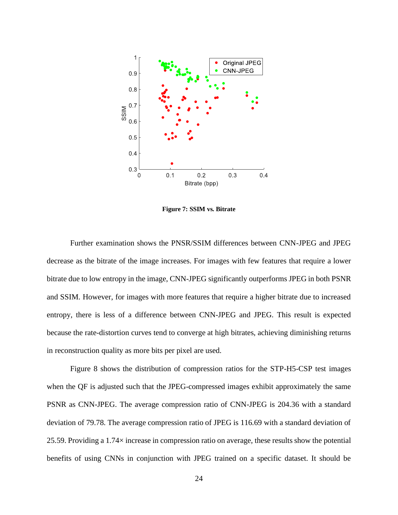

**Figure 7: SSIM vs. Bitrate**

<span id="page-32-0"></span>Further examination shows the PNSR/SSIM differences between CNN-JPEG and JPEG decrease as the bitrate of the image increases. For images with few features that require a lower bitrate due to low entropy in the image, CNN-JPEG significantly outperforms JPEG in both PSNR and SSIM. However, for images with more features that require a higher bitrate due to increased entropy, there is less of a difference between CNN-JPEG and JPEG. This result is expected because the rate-distortion curves tend to converge at high bitrates, achieving diminishing returns in reconstruction quality as more bits per pixel are used.

[Figure 8](#page-33-0) shows the distribution of compression ratios for the STP-H5-CSP test images when the QF is adjusted such that the JPEG-compressed images exhibit approximately the same PSNR as CNN-JPEG. The average compression ratio of CNN-JPEG is 204.36 with a standard deviation of 79.78. The average compression ratio of JPEG is 116.69 with a standard deviation of 25.59. Providing a 1.74× increase in compression ratio on average, these results show the potential benefits of using CNNs in conjunction with JPEG trained on a specific dataset. It should be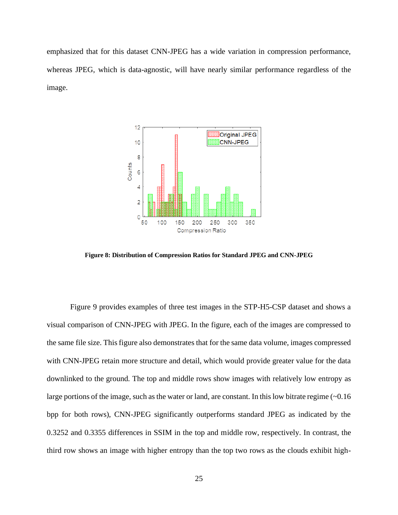emphasized that for this dataset CNN-JPEG has a wide variation in compression performance, whereas JPEG, which is data-agnostic, will have nearly similar performance regardless of the image.



<span id="page-33-0"></span>**Figure 8: Distribution of Compression Ratios for Standard JPEG and CNN-JPEG**

[Figure 9](#page-35-1) provides examples of three test images in the STP-H5-CSP dataset and shows a visual comparison of CNN-JPEG with JPEG. In the figure, each of the images are compressed to the same file size. This figure also demonstrates that for the same data volume, images compressed with CNN-JPEG retain more structure and detail, which would provide greater value for the data downlinked to the ground. The top and middle rows show images with relatively low entropy as large portions of the image, such as the water or land, are constant. In this low bitrate regime (~0.16 bpp for both rows), CNN-JPEG significantly outperforms standard JPEG as indicated by the 0.3252 and 0.3355 differences in SSIM in the top and middle row, respectively. In contrast, the third row shows an image with higher entropy than the top two rows as the clouds exhibit high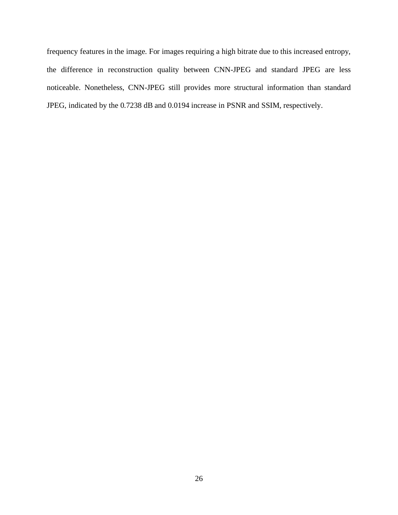frequency features in the image. For images requiring a high bitrate due to this increased entropy, the difference in reconstruction quality between CNN-JPEG and standard JPEG are less noticeable. Nonetheless, CNN-JPEG still provides more structural information than standard JPEG, indicated by the 0.7238 dB and 0.0194 increase in PSNR and SSIM, respectively.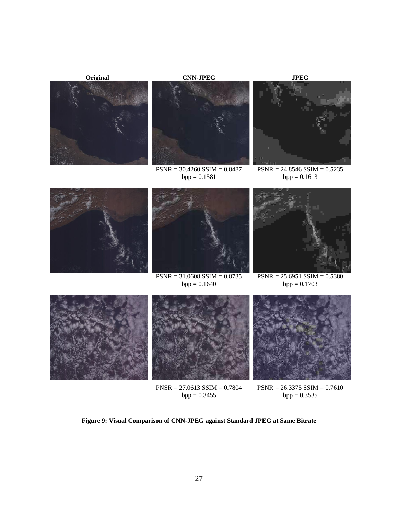

 $bpp = 0.3455$ 

 $bpp = 0.3535$ 

<span id="page-35-1"></span><span id="page-35-0"></span>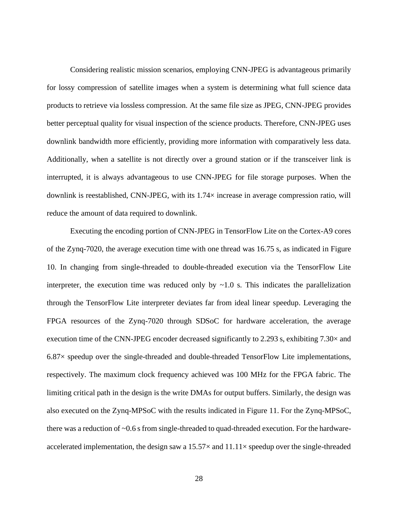Considering realistic mission scenarios, employing CNN-JPEG is advantageous primarily for lossy compression of satellite images when a system is determining what full science data products to retrieve via lossless compression. At the same file size as JPEG, CNN-JPEG provides better perceptual quality for visual inspection of the science products. Therefore, CNN-JPEG uses downlink bandwidth more efficiently, providing more information with comparatively less data. Additionally, when a satellite is not directly over a ground station or if the transceiver link is interrupted, it is always advantageous to use CNN-JPEG for file storage purposes. When the downlink is reestablished, CNN-JPEG, with its 1.74× increase in average compression ratio, will reduce the amount of data required to downlink.

Executing the encoding portion of CNN-JPEG in TensorFlow Lite on the Cortex-A9 cores of the Zynq-7020, the average execution time with one thread was 16.75 s, as indicated in [Figure](#page-38-0)  [10.](#page-38-0) In changing from single-threaded to double-threaded execution via the TensorFlow Lite interpreter, the execution time was reduced only by  $\sim$ 1.0 s. This indicates the parallelization through the TensorFlow Lite interpreter deviates far from ideal linear speedup. Leveraging the FPGA resources of the Zynq-7020 through SDSoC for hardware acceleration, the average execution time of the CNN-JPEG encoder decreased significantly to 2.293 s, exhibiting  $7.30\times$  and 6.87× speedup over the single-threaded and double-threaded TensorFlow Lite implementations, respectively. The maximum clock frequency achieved was 100 MHz for the FPGA fabric. The limiting critical path in the design is the write DMAs for output buffers. Similarly, the design was also executed on the Zynq-MPSoC with the results indicated in [Figure 11.](#page-39-0) For the Zynq-MPSoC, there was a reduction of ~0.6 s from single-threaded to quad-threaded execution. For the hardwareaccelerated implementation, the design saw a  $15.57\times$  and  $11.11\times$  speedup over the single-threaded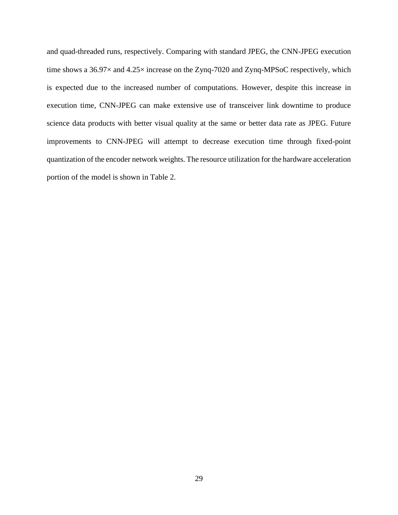and quad-threaded runs, respectively. Comparing with standard JPEG, the CNN-JPEG execution time shows a 36.97 $\times$  and 4.25 $\times$  increase on the Zynq-7020 and Zynq-MPSoC respectively, which is expected due to the increased number of computations. However, despite this increase in execution time, CNN-JPEG can make extensive use of transceiver link downtime to produce science data products with better visual quality at the same or better data rate as JPEG. Future improvements to CNN-JPEG will attempt to decrease execution time through fixed-point quantization of the encoder network weights. The resource utilization for the hardware acceleration portion of the model is shown in [Table 2.](#page-40-0)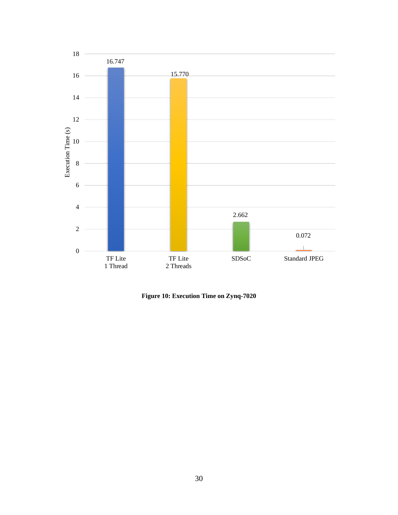

<span id="page-38-0"></span>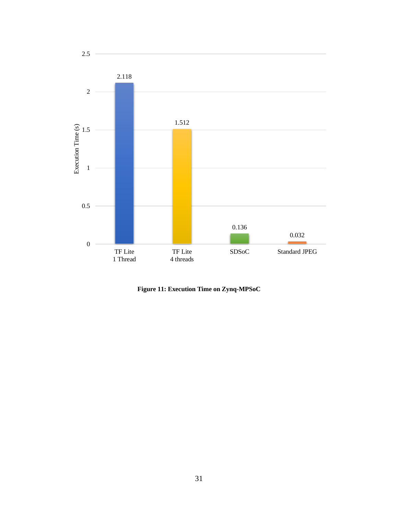

<span id="page-39-0"></span>**Figure 11: Execution Time on Zynq-MPSoC**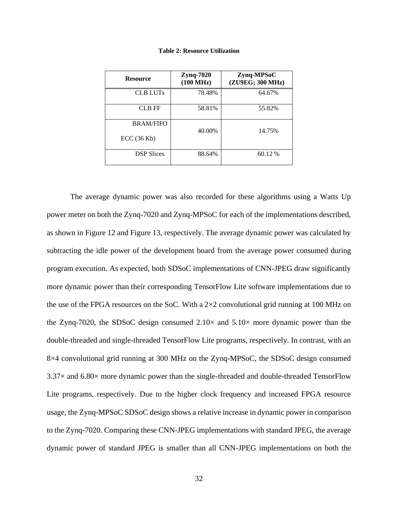<span id="page-40-0"></span>

| <b>Resource</b>   | Zynq-7020<br>(100 MHz) | Zynq-MPSoC<br>(ZU9EG; 300 MHz) |
|-------------------|------------------------|--------------------------------|
| <b>CLB LUTs</b>   | 78.48%                 | 64.67%                         |
| CLB FF            | 58.81%                 | 55.82%                         |
| <b>BRAM/FIFO</b>  | 40.00%                 | 14.75%                         |
| ECC(36 Kb)        |                        |                                |
| <b>DSP</b> Slices | 88.64%                 | 60.12 %                        |

**Table 2: Resource Utilization**

The average dynamic power was also recorded for these algorithms using a Watts Up power meter on both the Zynq-7020 and Zynq-MPSoC for each of the implementations described, as shown in [Figure 12](#page-42-0) and [Figure 13,](#page-43-0) respectively. The average dynamic power was calculated by subtracting the idle power of the development board from the average power consumed during program execution. As expected, both SDSoC implementations of CNN-JPEG draw significantly more dynamic power than their corresponding TensorFlow Lite software implementations due to the use of the FPGA resources on the SoC. With a  $2\times 2$  convolutional grid running at 100 MHz on the Zynq-7020, the SDSoC design consumed  $2.10\times$  and  $5.10\times$  more dynamic power than the double-threaded and single-threaded TensorFlow Lite programs, respectively. In contrast, with an 8×4 convolutional grid running at 300 MHz on the Zynq-MPSoC, the SDSoC design consumed  $3.37\times$  and 6.80 $\times$  more dynamic power than the single-threaded and double-threaded TensorFlow Lite programs, respectively. Due to the higher clock frequency and increased FPGA resource usage, the Zynq-MPSoC SDSoC design shows a relative increase in dynamic power in comparison to the Zynq-7020. Comparing these CNN-JPEG implementations with standard JPEG, the average dynamic power of standard JPEG is smaller than all CNN-JPEG implementations on both the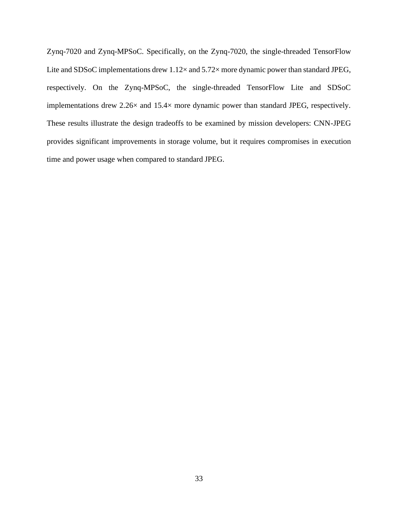Zynq-7020 and Zynq-MPSoC. Specifically, on the Zynq-7020, the single-threaded TensorFlow Lite and SDSoC implementations drew  $1.12\times$  and  $5.72\times$  more dynamic power than standard JPEG, respectively. On the Zynq-MPSoC, the single-threaded TensorFlow Lite and SDSoC implementations drew 2.26× and 15.4× more dynamic power than standard JPEG, respectively. These results illustrate the design tradeoffs to be examined by mission developers: CNN-JPEG provides significant improvements in storage volume, but it requires compromises in execution time and power usage when compared to standard JPEG.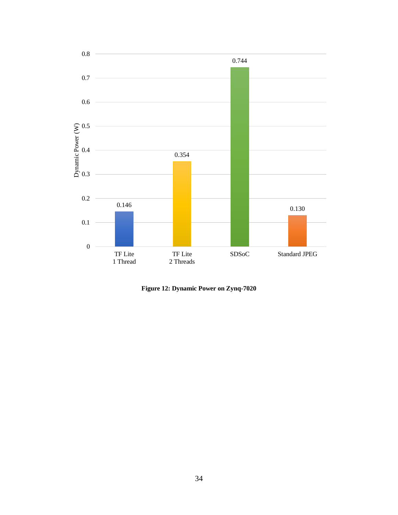

<span id="page-42-0"></span>**Figure 12: Dynamic Power on Zynq-7020**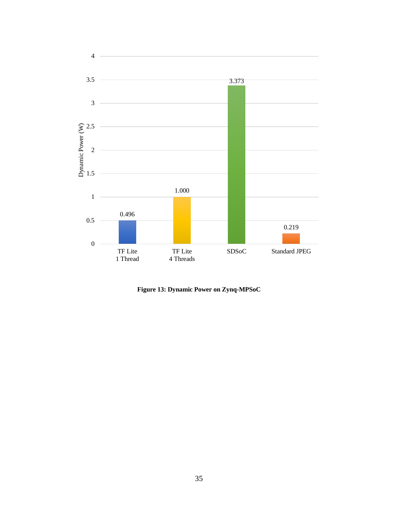

<span id="page-43-0"></span>**Figure 13: Dynamic Power on Zynq-MPSoC**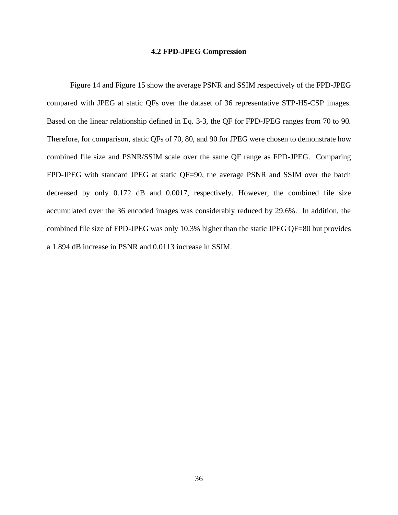#### **4.2 FPD-JPEG Compression**

<span id="page-44-0"></span>[Figure 14](#page-45-0) and [Figure 15](#page-46-0) show the average PSNR and SSIM respectively of the FPD-JPEG compared with JPEG at static QFs over the dataset of 36 representative STP-H5-CSP images. Based on the linear relationship defined in Eq. 3-3, the QF for FPD-JPEG ranges from 70 to 90. Therefore, for comparison, static QFs of 70, 80, and 90 for JPEG were chosen to demonstrate how combined file size and PSNR/SSIM scale over the same QF range as FPD-JPEG. Comparing FPD-JPEG with standard JPEG at static QF=90, the average PSNR and SSIM over the batch decreased by only 0.172 dB and 0.0017, respectively. However, the combined file size accumulated over the 36 encoded images was considerably reduced by 29.6%. In addition, the combined file size of FPD-JPEG was only 10.3% higher than the static JPEG QF=80 but provides a 1.894 dB increase in PSNR and 0.0113 increase in SSIM.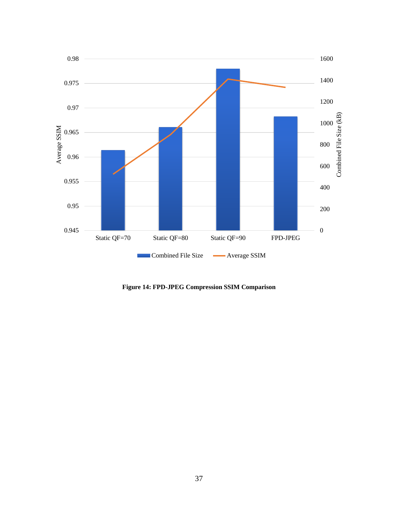

<span id="page-45-0"></span>**Figure 14: FPD-JPEG Compression SSIM Comparison**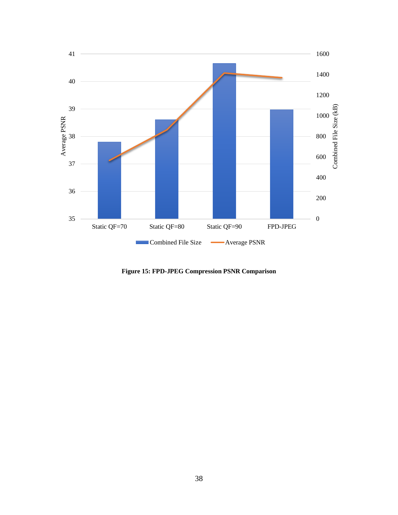

<span id="page-46-0"></span>**Figure 15: FPD-JPEG Compression PSNR Comparison**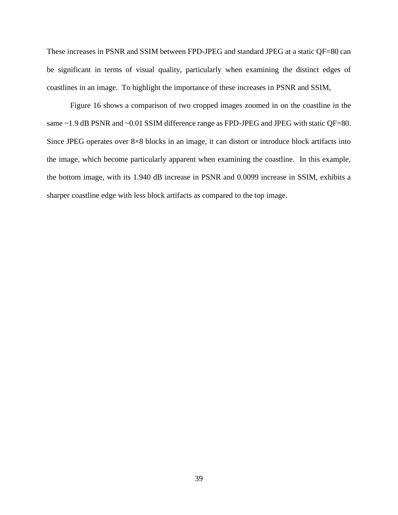These increases in PSNR and SSIM between FPD-JPEG and standard JPEG at a static QF=80 can be significant in terms of visual quality, particularly when examining the distinct edges of coastlines in an image. To highlight the importance of these increases in PSNR and SSIM,

[Figure 16](#page-48-1) shows a comparison of two cropped images zoomed in on the coastline in the same ~1.9 dB PSNR and ~0.01 SSIM difference range as FPD-JPEG and JPEG with static QF=80. Since JPEG operates over 8×8 blocks in an image, it can distort or introduce block artifacts into the image, which become particularly apparent when examining the coastline. In this example, the bottom image, with its 1.940 dB increase in PSNR and 0.0099 increase in SSIM, exhibits a sharper coastline edge with less block artifacts as compared to the top image.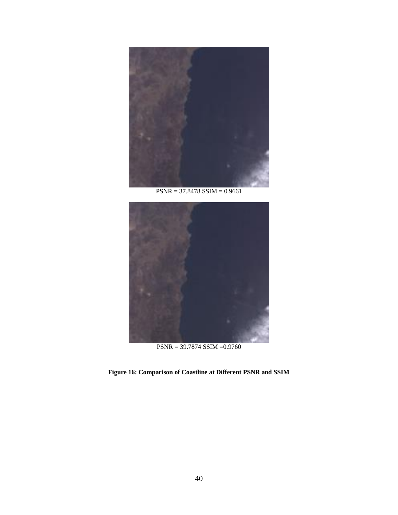

PSNR = 37.8478 SSIM = 0.9661



PSNR = 39.7874 SSIM =0.9760

<span id="page-48-1"></span><span id="page-48-0"></span>**Figure 16: Comparison of Coastline at Different PSNR and SSIM**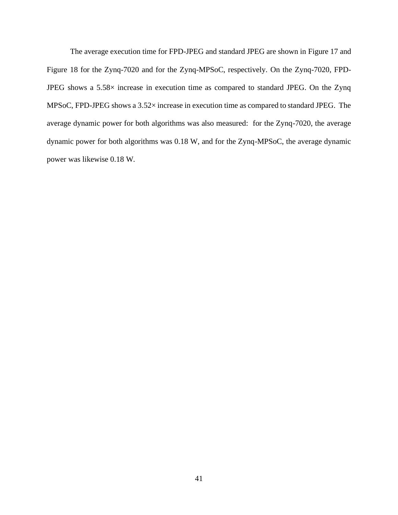The average execution time for FPD-JPEG and standard JPEG are shown i[n Figure 17](#page-50-0) and [Figure 18](#page-51-0) for the Zynq-7020 and for the Zynq-MPSoC, respectively. On the Zynq-7020, FPD-JPEG shows a 5.58× increase in execution time as compared to standard JPEG. On the Zynq MPSoC, FPD-JPEG shows a 3.52× increase in execution time as compared to standard JPEG. The average dynamic power for both algorithms was also measured: for the Zynq-7020, the average dynamic power for both algorithms was 0.18 W, and for the Zynq-MPSoC, the average dynamic power was likewise 0.18 W.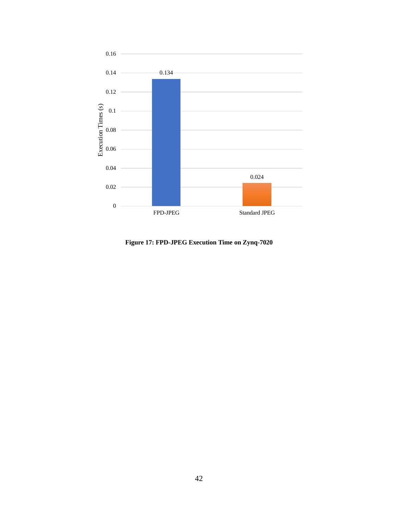

<span id="page-50-0"></span>**Figure 17: FPD-JPEG Execution Time on Zynq-7020**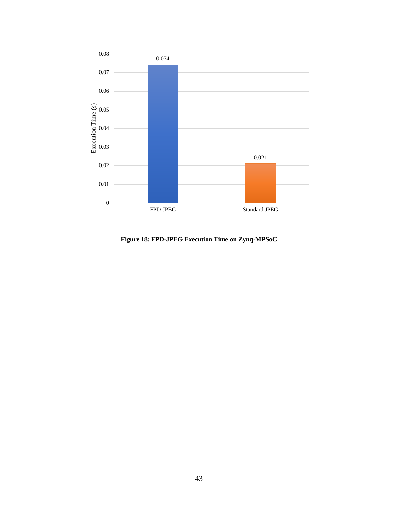

<span id="page-51-0"></span>**Figure 18: FPD-JPEG Execution Time on Zynq-MPSoC**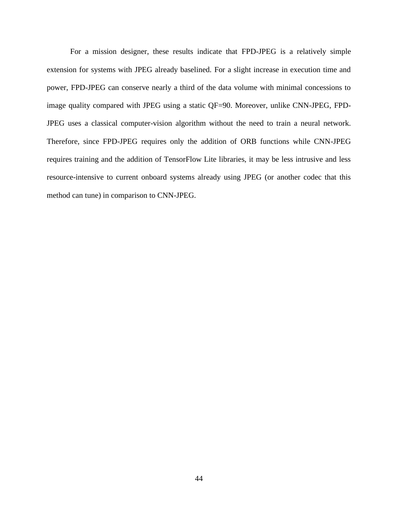For a mission designer, these results indicate that FPD-JPEG is a relatively simple extension for systems with JPEG already baselined. For a slight increase in execution time and power, FPD-JPEG can conserve nearly a third of the data volume with minimal concessions to image quality compared with JPEG using a static QF=90. Moreover, unlike CNN-JPEG, FPD-JPEG uses a classical computer-vision algorithm without the need to train a neural network. Therefore, since FPD-JPEG requires only the addition of ORB functions while CNN-JPEG requires training and the addition of TensorFlow Lite libraries, it may be less intrusive and less resource-intensive to current onboard systems already using JPEG (or another codec that this method can tune) in comparison to CNN-JPEG.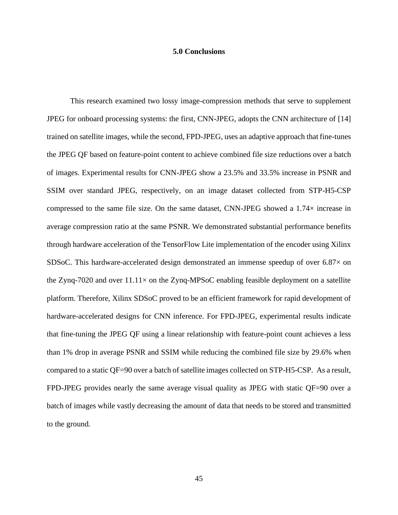#### **5.0 Conclusions**

<span id="page-53-0"></span>This research examined two lossy image-compression methods that serve to supplement JPEG for onboard processing systems: the first, CNN-JPEG, adopts the CNN architecture of [\[14\]](#page-57-1) trained on satellite images, while the second, FPD-JPEG, uses an adaptive approach that fine-tunes the JPEG QF based on feature-point content to achieve combined file size reductions over a batch of images. Experimental results for CNN-JPEG show a 23.5% and 33.5% increase in PSNR and SSIM over standard JPEG, respectively, on an image dataset collected from STP-H5-CSP compressed to the same file size. On the same dataset, CNN-JPEG showed a  $1.74\times$  increase in average compression ratio at the same PSNR. We demonstrated substantial performance benefits through hardware acceleration of the TensorFlow Lite implementation of the encoder using Xilinx SDSoC. This hardware-accelerated design demonstrated an immense speedup of over  $6.87\times$  on the Zynq-7020 and over  $11.11\times$  on the Zynq-MPSoC enabling feasible deployment on a satellite platform. Therefore, Xilinx SDSoC proved to be an efficient framework for rapid development of hardware-accelerated designs for CNN inference. For FPD-JPEG, experimental results indicate that fine-tuning the JPEG QF using a linear relationship with feature-point count achieves a less than 1% drop in average PSNR and SSIM while reducing the combined file size by 29.6% when compared to a static QF=90 over a batch of satellite images collected on STP-H5-CSP. As a result, FPD-JPEG provides nearly the same average visual quality as JPEG with static QF=90 over a batch of images while vastly decreasing the amount of data that needs to be stored and transmitted to the ground.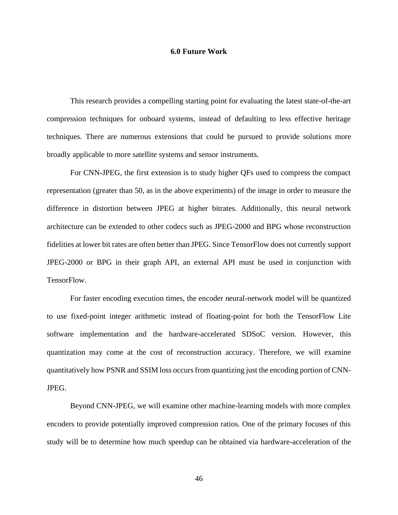#### **6.0 Future Work**

<span id="page-54-0"></span>This research provides a compelling starting point for evaluating the latest state-of-the-art compression techniques for onboard systems, instead of defaulting to less effective heritage techniques. There are numerous extensions that could be pursued to provide solutions more broadly applicable to more satellite systems and sensor instruments.

For CNN-JPEG, the first extension is to study higher QFs used to compress the compact representation (greater than 50, as in the above experiments) of the image in order to measure the difference in distortion between JPEG at higher bitrates. Additionally, this neural network architecture can be extended to other codecs such as JPEG-2000 and BPG whose reconstruction fidelities at lower bit rates are often better than JPEG. Since TensorFlow does not currently support JPEG-2000 or BPG in their graph API, an external API must be used in conjunction with TensorFlow.

For faster encoding execution times, the encoder neural-network model will be quantized to use fixed-point integer arithmetic instead of floating-point for both the TensorFlow Lite software implementation and the hardware-accelerated SDSoC version. However, this quantization may come at the cost of reconstruction accuracy. Therefore, we will examine quantitatively how PSNR and SSIM loss occurs from quantizing just the encoding portion of CNN-JPEG.

Beyond CNN-JPEG, we will examine other machine-learning models with more complex encoders to provide potentially improved compression ratios. One of the primary focuses of this study will be to determine how much speedup can be obtained via hardware-acceleration of the

46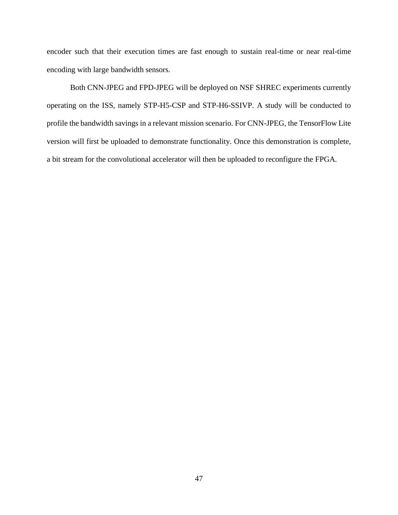encoder such that their execution times are fast enough to sustain real-time or near real-time encoding with large bandwidth sensors.

Both CNN-JPEG and FPD-JPEG will be deployed on NSF SHREC experiments currently operating on the ISS, namely STP-H5-CSP and STP-H6-SSIVP. A study will be conducted to profile the bandwidth savings in a relevant mission scenario. For CNN-JPEG, the TensorFlow Lite version will first be uploaded to demonstrate functionality. Once this demonstration is complete, a bit stream for the convolutional accelerator will then be uploaded to reconfigure the FPGA.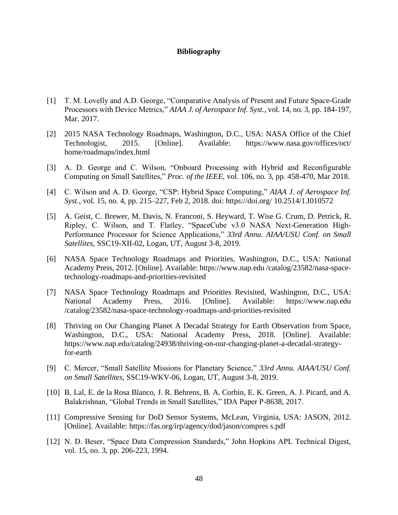#### **Bibliography**

- <span id="page-56-1"></span><span id="page-56-0"></span>[1] T. M. Lovelly and A.D. George, "Comparative Analysis of Present and Future Space-Grade Processors with Device Metrics," *AIAA J. of Aerospace Inf. Syst.*, vol. 14, no. 3, pp. 184-197, Mar. 2017.
- <span id="page-56-2"></span>[2] 2015 NASA Technology Roadmaps, Washington, D.C., USA: NASA Office of the Chief Technologist, 2015. [Online]. Available: https://www.nasa.gov/offices/oct/ home/roadmaps/index.html
- <span id="page-56-3"></span>[3] A. D. George and C. Wilson, "Onboard Processing with Hybrid and Reconfigurable Computing on Small Satellites," *Proc. of the IEEE*, vol. 106, no. 3, pp. 458-470, Mar 2018.
- <span id="page-56-4"></span>[4] C. Wilson and A. D. George, "CSP: Hybrid Space Computing," *AIAA J. of Aerospace Inf. Syst.*, vol. 15, no. 4, pp. 215–227, Feb 2, 2018. doi: https://doi.org/ 10.2514/1.I010572
- <span id="page-56-5"></span>[5] A. Geist, C. Brewer, M. Davis, N. Franconi, S. Heyward, T. Wise G. Crum, D. Petrick, R. Ripley, C. Wilson, and T. Flatley, "SpaceCube v3.0 NASA Next-Generation High-Performance Processor for Science Applications," *33rd Annu. AIAA/USU Conf. on Small Satellites*, SSC19-XII-02, Logan, UT, August 3-8, 2019.
- <span id="page-56-6"></span>[6] NASA Space Technology Roadmaps and Priorities, Washington, D.C., USA: National Academy Press, 2012. [Online]. Available: https://www.nap.edu /catalog/23582/nasa-spacetechnology-roadmaps-and-priorities-revisited
- <span id="page-56-7"></span>[7] NASA Space Technology Roadmaps and Priorities Revisited, Washington, D.C., USA: National Academy Press, 2016. [Online]. Available: https://www.nap.edu /catalog/23582/nasa-space-technology-roadmaps-and-priorities-revisited
- <span id="page-56-8"></span>[8] Thriving on Our Changing Planet A Decadal Strategy for Earth Observation from Space, Washington, D.C., USA: National Academy Press, 2018. [Online]. Available: https://www.nap.edu/catalog/24938/thriving-on-our-changing-planet-a-decadal-strategyfor-earth
- <span id="page-56-9"></span>[9] C. Mercer, "Small Satellite Missions for Planetary Science," *33rd Annu. AIAA/USU Conf. on Small Satellites*, SSC19-WKV-06, Logan, UT, August 3-8, 2019.
- <span id="page-56-10"></span>[10] B. Lal, E. de la Rosa Blanco, J. R. Behrens, B. A. Corbin, E. K. Green, A. J. Picard, and A. Balakrishnan, "Global Trends in Small Satellites," IDA Paper P-8638, 2017.
- <span id="page-56-11"></span>[11] Compressive Sensing for DoD Sensor Systems, McLean, Virginia, USA: JASON, 2012. [Online]. Available: https://fas.org/irp/agency/dod/jason/compres s.pdf
- <span id="page-56-12"></span>[12] N. D. Beser, "Space Data Compression Standards," John Hopkins APL Technical Digest, vol. 15, no. 3, pp. 206-223, 1994.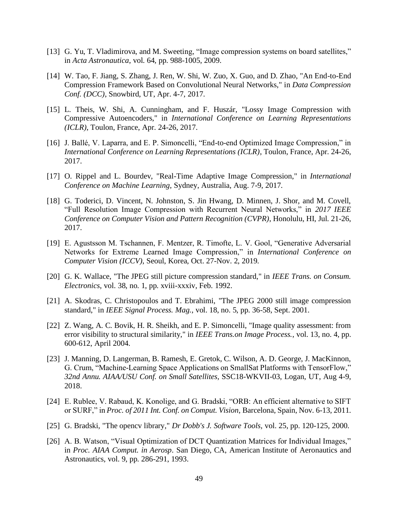- <span id="page-57-0"></span>[13] G. Yu, T. Vladimirova, and M. Sweeting, "Image compression systems on board satellites," in *Acta Astronautica*, vol. 64, pp. 988-1005, 2009.
- <span id="page-57-1"></span>[14] W. Tao, F. Jiang, S. Zhang, J. Ren, W. Shi, W. Zuo, X. Guo, and D. Zhao, "An End-to-End Compression Framework Based on Convolutional Neural Networks," in *Data Compression Conf. (DCC)*, Snowbird, UT, Apr. 4-7, 2017.
- <span id="page-57-6"></span>[15] L. Theis, W. Shi, A. Cunningham, and F. Huszár, "Lossy Image Compression with Compressive Autoencoders," in *International Conference on Learning Representations (ICLR)*, Toulon, France, Apr. 24-26, 2017.
- <span id="page-57-7"></span>[16] J. Ballé, V. Laparra, and E. P. Simoncelli, "End-to-end Optimized Image Compression," in *International Conference on Learning Representations (ICLR)*, Toulon, France, Apr. 24-26, 2017.
- <span id="page-57-8"></span>[17] O. Rippel and L. Bourdev, "Real-Time Adaptive Image Compression," in *International Conference on Machine Learning*, Sydney, Australia, Aug. 7-9, 2017.
- <span id="page-57-9"></span>[18] G. Toderici, D. Vincent, N. Johnston, S. Jin Hwang, D. Minnen, J. Shor, and M. Covell, "Full Resolution Image Compression with Recurrent Neural Networks," in *2017 IEEE Conference on Computer Vision and Pattern Recognition (CVPR)*, Honolulu, HI, Jul. 21-26, 2017.
- <span id="page-57-2"></span>[19] E. Agustsson M. Tschannen, F. Mentzer, R. Timofte, L. V. Gool, "Generative Adversarial Networks for Extreme Learned Image Compression," in *International Conference on Computer Vision (ICCV)*, Seoul, Korea, Oct. 27-Nov. 2, 2019.
- <span id="page-57-3"></span>[20] G. K. Wallace, "The JPEG still picture compression standard," in *IEEE Trans. on Consum. Electronics*, vol. 38, no. 1, pp. xviii-xxxiv, Feb. 1992.
- <span id="page-57-4"></span>[21] A. Skodras, C. Christopoulos and T. Ebrahimi, "The JPEG 2000 still image compression standard," in *IEEE Signal Process. Mag.*, vol. 18, no. 5, pp. 36-58, Sept. 2001.
- <span id="page-57-5"></span>[22] Z. Wang, A. C. Bovik, H. R. Sheikh, and E. P. Simoncelli, "Image quality assessment: from error visibility to structural similarity," in *IEEE Trans.on Image Process.*, vol. 13, no. 4, pp. 600-612, April 2004.
- <span id="page-57-10"></span>[23] J. Manning, D. Langerman, B. Ramesh, E. Gretok, C. Wilson, A. D. George, J. MacKinnon, G. Crum, "Machine-Learning Space Applications on SmallSat Platforms with TensorFlow," *32nd Annu. AIAA/USU Conf. on Small Satellites,* SSC18-WKVII-03, Logan, UT, Aug 4-9, 2018.
- <span id="page-57-11"></span>[24] E. Rublee, V. Rabaud, K. Konolige, and G. Bradski, "ORB: An efficient alternative to SIFT or SURF," in *Proc. of 2011 Int. Conf. on Comput. Vision*, Barcelona, Spain, Nov. 6-13, 2011.
- <span id="page-57-12"></span>[25] G. Bradski, "The opencv library," *Dr Dobb's J. Software Tools,* vol. 25, pp. 120-125, 2000.
- <span id="page-57-13"></span>[26] A. B. Watson, "Visual Optimization of DCT Quantization Matrices for Individual Images," in *Proc. AIAA Comput. in Aerosp*. San Diego, CA, American Institute of Aeronautics and Astronautics, vol. 9, pp. 286-291, 1993.